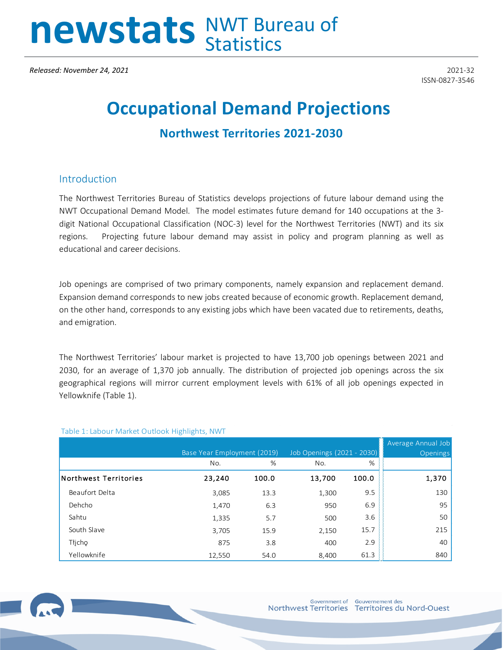# newstats NWT Bureau of

*Released: November 24, 2021* 2021-32

ISSN-0827-3546

# **Occupational Demand Projections**

# **Northwest Territories 2021-2030**

#### Introduction

The Northwest Territories Bureau of Statistics develops projections of future labour demand using the NWT Occupational Demand Model. The model estimates future demand for 140 occupations at the 3 digit National Occupational Classification (NOC-3) level for the Northwest Territories (NWT) and its six regions. Projecting future labour demand may assist in policy and program planning as well as educational and career decisions.

Job openings are comprised of two primary components, namely expansion and replacement demand. Expansion demand corresponds to new jobs created because of economic growth. Replacement demand, on the other hand, corresponds to any existing jobs which have been vacated due to retirements, deaths, and emigration.

The Northwest Territories' labour market is projected to have 13,700 job openings between 2021 and 2030, for an average of 1,370 job annually. The distribution of projected job openings across the six geographical regions will mirror current employment levels with 61% of all job openings expected in Yellowknife (Table 1).

|                              | Base Year Employment (2019) |       | Job Openings (2021 - 2030): |       | Average Annual Job<br><b>Openings</b> |
|------------------------------|-----------------------------|-------|-----------------------------|-------|---------------------------------------|
|                              | No.                         | %     | No.                         | %     |                                       |
| <b>Northwest Territories</b> | 23,240                      | 100.0 | 13,700                      | 100.0 | 1,370                                 |
| Beaufort Delta               | 3,085                       | 13.3  | 1,300                       | 9.5   | 130                                   |
| Dehcho                       | 1,470                       | 6.3   | 950                         | 6.9   | 95                                    |
| Sahtu                        | 1,335                       | 5.7   | 500                         | 3.6   | 50                                    |
| South Slave                  | 3,705                       | 15.9  | 2,150                       | 15.7  | 215                                   |
| Tłjcho                       | 875                         | 3.8   | 400                         | 2.9   | 40                                    |
| Yellowknife                  | 12,550                      | 54.0  | 8.400                       | 61.3  | 840                                   |

#### Table 1: Labour Market Outlook Highlights, NWT

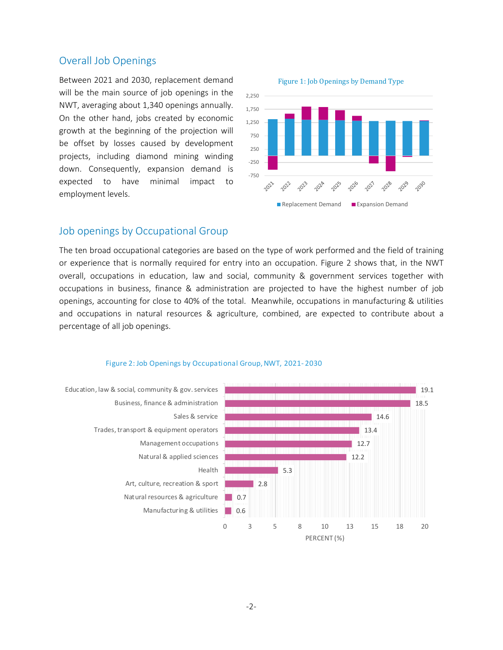#### Overall Job Openings

Between 2021 and 2030, replacement demand will be the main source of job openings in the NWT, averaging about 1,340 openings annually. On the other hand, jobs created by economic growth at the beginning of the projection will be offset by losses caused by development projects, including diamond mining winding down. Consequently, expansion demand is expected to have minimal impact to employment levels.

Figure 1: Job Openings by Demand Type



### Job openings by Occupational Group

The ten broad occupational categories are based on the type of work performed and the field of training or experience that is normally required for entry into an occupation. Figure 2 shows that, in the NWT overall, occupations in education, law and social, community & government services together with occupations in business, finance & administration are projected to have the highest number of job openings, accounting for close to 40% of the total. Meanwhile, occupations in manufacturing & utilities and occupations in natural resources & agriculture, combined, are expected to contribute about a percentage of all job openings.

#### Figure 2: Job Openings by Occupational Group, NWT, 2021- 2030

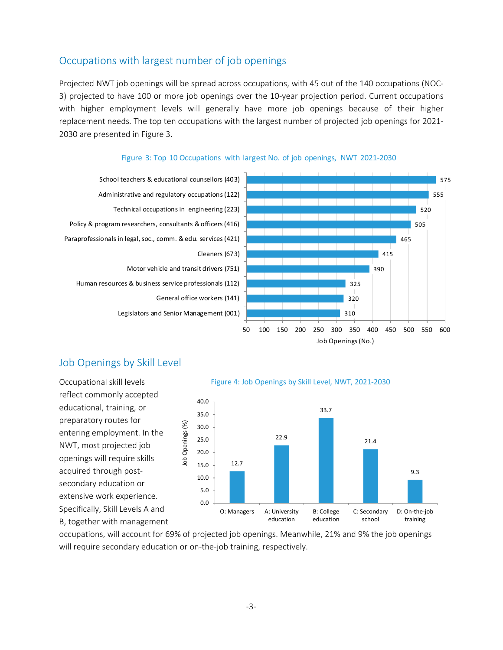# Occupations with largest number of job openings

Projected NWT job openings will be spread across occupations, with 45 out of the 140 occupations (NOC-3) projected to have 100 or more job openings over the 10-year projection period. Current occupations with higher employment levels will generally have more job openings because of their higher replacement needs. The top ten occupations with the largest number of projected job openings for 2021- 2030 are presented in Figure 3.



#### Figure 3: Top 10 Occupations with largest No. of job openings, NWT 2021-2030

# Job Openings by Skill Level

Occupational skill levels reflect commonly accepted educational, training, or preparatory routes for entering employment. In the NWT, most projected job openings will require skills acquired through postsecondary education or extensive work experience. Specifically, Skill Levels A and B, together with management



Figure 4: Job Openings by Skill Level, NWT, 2021-2030

occupations, will account for 69% of projected job openings. Meanwhile, 21% and 9% the job openings will require secondary education or on-the-job training, respectively.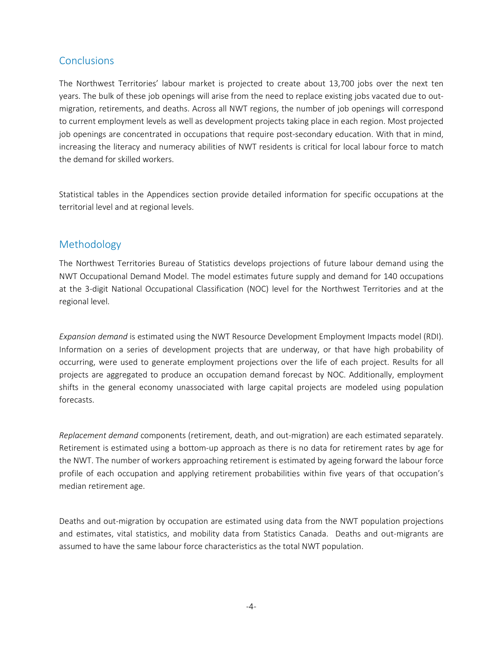### **Conclusions**

The Northwest Territories' labour market is projected to create about 13,700 jobs over the next ten years. The bulk of these job openings will arise from the need to replace existing jobs vacated due to outmigration, retirements, and deaths. Across all NWT regions, the number of job openings will correspond to current employment levels as well as development projects taking place in each region. Most projected job openings are concentrated in occupations that require post-secondary education. With that in mind, increasing the literacy and numeracy abilities of NWT residents is critical for local labour force to match the demand for skilled workers.

Statistical tables in the Appendices section provide detailed information for specific occupations at the territorial level and at regional levels.

#### Methodology

The Northwest Territories Bureau of Statistics develops projections of future labour demand using the NWT Occupational Demand Model. The model estimates future supply and demand for 140 occupations at the 3-digit National Occupational Classification (NOC) level for the Northwest Territories and at the regional level.

*Expansion demand* is estimated using the NWT Resource Development Employment Impacts model (RDI). Information on a series of development projects that are underway, or that have high probability of occurring, were used to generate employment projections over the life of each project. Results for all projects are aggregated to produce an occupation demand forecast by NOC. Additionally, employment shifts in the general economy unassociated with large capital projects are modeled using population forecasts.

*Replacement demand* components (retirement, death, and out-migration) are each estimated separately. Retirement is estimated using a bottom-up approach as there is no data for retirement rates by age for the NWT. The number of workers approaching retirement is estimated by ageing forward the labour force profile of each occupation and applying retirement probabilities within five years of that occupation's median retirement age.

Deaths and out-migration by occupation are estimated using data from the NWT population projections and estimates, vital statistics, and mobility data from Statistics Canada. Deaths and out-migrants are assumed to have the same labour force characteristics as the total NWT population.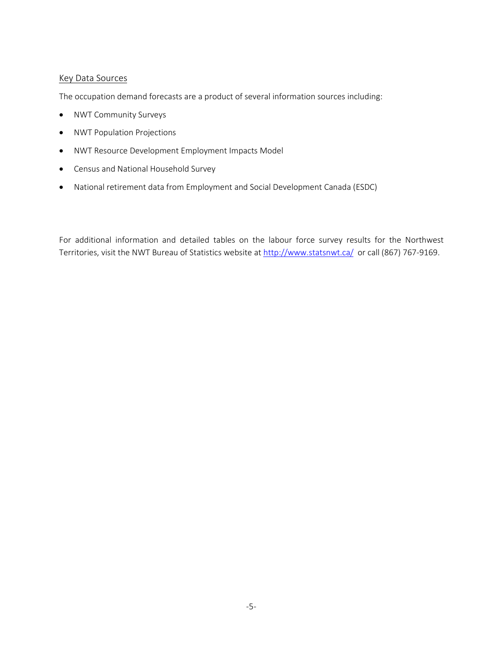#### Key Data Sources

The occupation demand forecasts are a product of several information sources including:

- NWT Community Surveys
- NWT Population Projections
- NWT Resource Development Employment Impacts Model
- Census and National Household Survey
- National retirement data from Employment and Social Development Canada (ESDC)

For additional information and detailed tables on the labour force survey results for the Northwest Territories, visit the NWT Bureau of Statistics website a[t http://www.statsnwt.ca/](http://www.statsnwt.ca/) or call (867) 767-9169.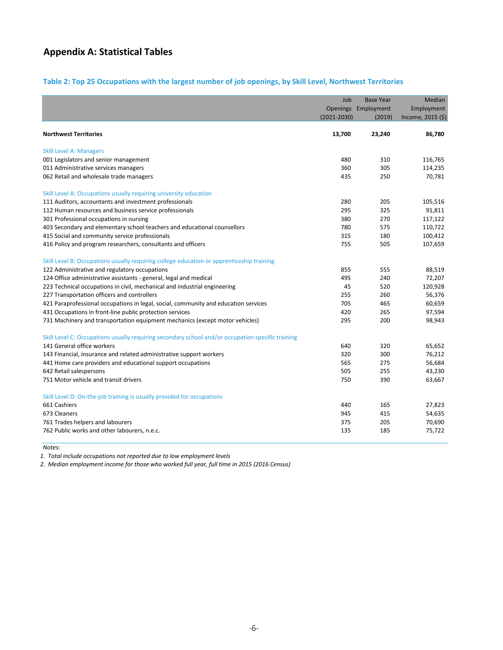# **Appendix A: Statistical Tables**

#### **Table 2: Top 25 Occupations with the largest number of job openings, by Skill Level, Northwest Territories**

|                                                                                                   | Job<br>$(2021 - 2030)$ | <b>Base Year</b><br>Openings Employment<br>(2019) | Median<br>Employment<br>Income, $2015$ (\$) |
|---------------------------------------------------------------------------------------------------|------------------------|---------------------------------------------------|---------------------------------------------|
| <b>Northwest Territories</b>                                                                      | 13,700                 | 23,240                                            | 86,780                                      |
| <b>Skill Level A: Managers</b>                                                                    |                        |                                                   |                                             |
| 001 Legislators and senior management                                                             | 480                    | 310                                               | 116,765                                     |
| 011 Administrative services managers                                                              | 360                    | 305                                               | 114,235                                     |
| 062 Retail and wholesale trade managers                                                           | 435                    | 250                                               | 70,781                                      |
| Skill Level A: Occupations usually requiring university education                                 |                        |                                                   |                                             |
| 111 Auditors, accountants and investment professionals                                            | 280                    | 205                                               | 105,516                                     |
| 112 Human resources and business service professionals                                            | 295                    | 325                                               | 91,811                                      |
| 301 Professional occupations in nursing                                                           | 380                    | 270                                               | 117,122                                     |
| 403 Secondary and elementary school teachers and educational counsellors                          | 780                    | 575                                               | 110,722                                     |
| 415 Social and community service professionals                                                    | 315                    | 180                                               | 100,412                                     |
| 416 Policy and program researchers, consultants and officers                                      | 755                    | 505                                               | 107,659                                     |
| Skill Level B: Occupations usually requiring college education or apprenticeship training         |                        |                                                   |                                             |
| 122 Administrative and regulatory occupations                                                     | 855                    | 555                                               | 88,519                                      |
| 124 Office administrative assistants - general, legal and medical                                 | 495                    | 240                                               | 72,207                                      |
| 223 Technical occupations in civil, mechanical and industrial engineering                         | 45                     | 520                                               | 120,928                                     |
| 227 Transportation officers and controllers                                                       | 255                    | 260                                               | 56,376                                      |
| 421 Paraprofessional occupations in legal, social, community and education services               | 705                    | 465                                               | 60,659                                      |
| 431 Occupations in front-line public protection services                                          | 420                    | 265                                               | 97,594                                      |
| 731 Machinery and transportation equipment mechanics (except motor vehicles)                      | 295                    | 200                                               | 98,943                                      |
| Skill Level C: Occupations usually requiring secondary school and/or occupation specific training |                        |                                                   |                                             |
| 141 General office workers                                                                        | 640                    | 320                                               | 65,652                                      |
| 143 Financial, insurance and related administrative support workers                               | 320                    | 300                                               | 76,212                                      |
| 441 Home care providers and educational support occupations                                       | 565                    | 275                                               | 56,684                                      |
| 642 Retail salespersons                                                                           | 505                    | 255                                               | 43,230                                      |
| 751 Motor vehicle and transit drivers                                                             | 750                    | 390                                               | 63,667                                      |
| Skill Level D: On-the-job training is usually provided for occupations                            |                        |                                                   |                                             |
| 661 Cashiers                                                                                      | 440                    | 165                                               | 27,823                                      |
| 673 Cleaners                                                                                      | 945                    | 415                                               | 54,635                                      |
| 761 Trades helpers and labourers                                                                  | 375                    | 205                                               | 70,690                                      |
| 762 Public works and other labourers, n.e.c.                                                      | 135                    | 185                                               | 75,722                                      |

*Notes:*

*1. Total include occupations not reported due to low employment levels*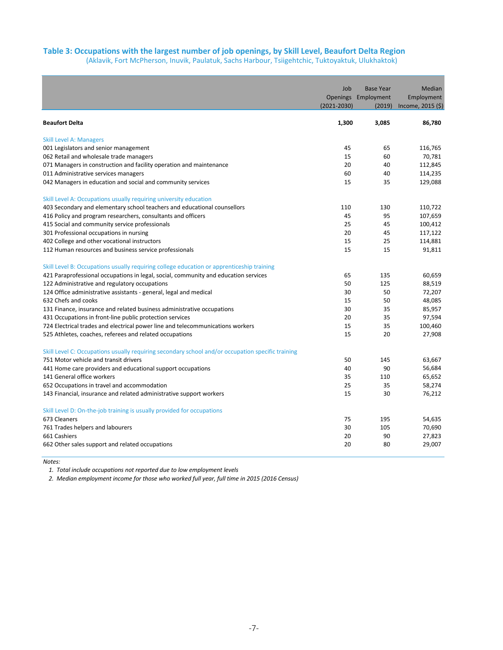#### **Table 3: Occupations with the largest number of job openings, by Skill Level, Beaufort Delta Region**

(Aklavik, Fort McPherson, Inuvik, Paulatuk, Sachs Harbour, Tsiigehtchic, Tuktoyaktuk, Ulukhaktok)

|                                                                                                   | Job             | <b>Base Year</b>    | Median            |
|---------------------------------------------------------------------------------------------------|-----------------|---------------------|-------------------|
|                                                                                                   |                 | Openings Employment | Employment        |
|                                                                                                   | $(2021 - 2030)$ | (2019)              | Income, 2015 (\$) |
| <b>Beaufort Delta</b>                                                                             | 1,300           | 3,085               | 86,780            |
| <b>Skill Level A: Managers</b>                                                                    |                 |                     |                   |
| 001 Legislators and senior management                                                             | 45              | 65                  | 116,765           |
| 062 Retail and wholesale trade managers                                                           | 15              | 60                  | 70,781            |
| 071 Managers in construction and facility operation and maintenance                               | 20              | 40                  | 112,845           |
| 011 Administrative services managers                                                              | 60              | 40                  | 114,235           |
| 042 Managers in education and social and community services                                       | 15              | 35                  | 129,088           |
| Skill Level A: Occupations usually requiring university education                                 |                 |                     |                   |
| 403 Secondary and elementary school teachers and educational counsellors                          | 110             | 130                 | 110,722           |
| 416 Policy and program researchers, consultants and officers                                      | 45              | 95                  | 107,659           |
| 415 Social and community service professionals                                                    | 25              | 45                  | 100,412           |
| 301 Professional occupations in nursing                                                           | 20              | 45                  | 117,122           |
| 402 College and other vocational instructors                                                      | 15              | 25                  | 114,881           |
| 112 Human resources and business service professionals                                            | 15              | 15                  | 91,811            |
| Skill Level B: Occupations usually requiring college education or apprenticeship training         |                 |                     |                   |
| 421 Paraprofessional occupations in legal, social, community and education services               | 65              | 135                 | 60,659            |
| 122 Administrative and regulatory occupations                                                     | 50              | 125                 | 88,519            |
| 124 Office administrative assistants - general, legal and medical                                 | 30              | 50                  | 72,207            |
| 632 Chefs and cooks                                                                               | 15              | 50                  | 48,085            |
| 131 Finance, insurance and related business administrative occupations                            | 30              | 35                  | 85,957            |
| 431 Occupations in front-line public protection services                                          | 20              | 35                  | 97,594            |
| 724 Electrical trades and electrical power line and telecommunications workers                    | 15              | 35                  | 100,460           |
| 525 Athletes, coaches, referees and related occupations                                           | 15              | 20                  | 27,908            |
| Skill Level C: Occupations usually requiring secondary school and/or occupation specific training |                 |                     |                   |
| 751 Motor vehicle and transit drivers                                                             | 50              | 145                 | 63,667            |
| 441 Home care providers and educational support occupations                                       | 40              | 90                  | 56,684            |
| 141 General office workers                                                                        | 35              | 110                 | 65,652            |
| 652 Occupations in travel and accommodation                                                       | 25              | 35                  | 58,274            |
| 143 Financial, insurance and related administrative support workers                               | 15              | 30                  | 76,212            |
| Skill Level D: On-the-job training is usually provided for occupations                            |                 |                     |                   |
| 673 Cleaners                                                                                      | 75              | 195                 | 54,635            |
| 761 Trades helpers and labourers                                                                  | 30              | 105                 | 70,690            |
| 661 Cashiers                                                                                      | 20              | 90                  | 27,823            |
| 662 Other sales support and related occupations                                                   | 20              | 80                  | 29,007            |

*Notes:*

*1. Total include occupations not reported due to low employment levels*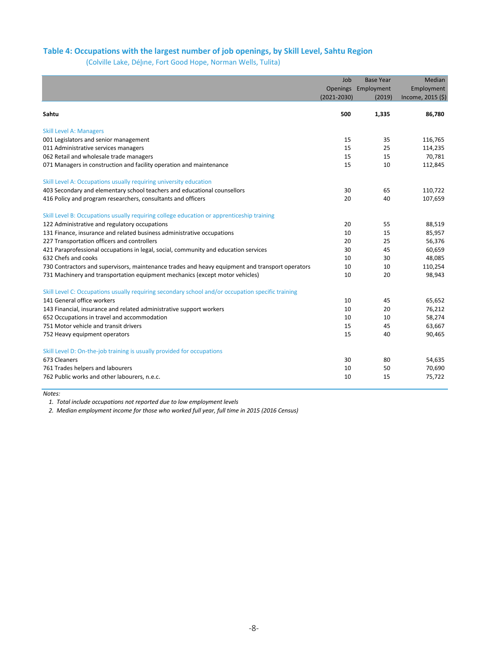#### **Table 4: Occupations with the largest number of job openings, by Skill Level, Sahtu Region**

(Colville Lake, Délı̨ne, Fort Good Hope, Norman Wells, Tulita)

|                                                                                                   | Job             | <b>Base Year</b> | Median            |
|---------------------------------------------------------------------------------------------------|-----------------|------------------|-------------------|
|                                                                                                   | Openings        | Employment       | Employment        |
|                                                                                                   | $(2021 - 2030)$ | (2019)           | Income, 2015 (\$) |
|                                                                                                   |                 |                  |                   |
| Sahtu                                                                                             | 500             | 1,335            | 86,780            |
| <b>Skill Level A: Managers</b>                                                                    |                 |                  |                   |
| 001 Legislators and senior management                                                             | 15              | 35               | 116,765           |
| 011 Administrative services managers                                                              | 15              | 25               | 114,235           |
| 062 Retail and wholesale trade managers                                                           | 15              | 15               | 70,781            |
| 071 Managers in construction and facility operation and maintenance                               | 15              | 10               | 112,845           |
| Skill Level A: Occupations usually requiring university education                                 |                 |                  |                   |
| 403 Secondary and elementary school teachers and educational counsellors                          | 30              | 65               | 110,722           |
| 416 Policy and program researchers, consultants and officers                                      | 20              | 40               | 107,659           |
| Skill Level B: Occupations usually requiring college education or apprenticeship training         |                 |                  |                   |
| 122 Administrative and regulatory occupations                                                     | 20              | 55               | 88,519            |
| 131 Finance, insurance and related business administrative occupations                            | 10              | 15               | 85,957            |
| 227 Transportation officers and controllers                                                       | 20              | 25               | 56,376            |
| 421 Paraprofessional occupations in legal, social, community and education services               | 30              | 45               | 60,659            |
| 632 Chefs and cooks                                                                               | 10              | 30               | 48,085            |
| 730 Contractors and supervisors, maintenance trades and heavy equipment and transport operators   | 10              | 10               | 110,254           |
| 731 Machinery and transportation equipment mechanics (except motor vehicles)                      | 10              | 20               | 98,943            |
| Skill Level C: Occupations usually requiring secondary school and/or occupation specific training |                 |                  |                   |
| 141 General office workers                                                                        | 10              | 45               | 65,652            |
| 143 Financial, insurance and related administrative support workers                               | 10              | 20               | 76,212            |
| 652 Occupations in travel and accommodation                                                       | 10              | 10               | 58,274            |
| 751 Motor vehicle and transit drivers                                                             | 15              | 45               | 63,667            |
| 752 Heavy equipment operators                                                                     | 15              | 40               | 90,465            |
| Skill Level D: On-the-job training is usually provided for occupations                            |                 |                  |                   |
| 673 Cleaners                                                                                      | 30              | 80               | 54,635            |
| 761 Trades helpers and labourers                                                                  | 10              | 50               | 70,690            |
| 762 Public works and other labourers, n.e.c.                                                      | 10              | 15               | 75,722            |

*Notes:*

*1. Total include occupations not reported due to low employment levels*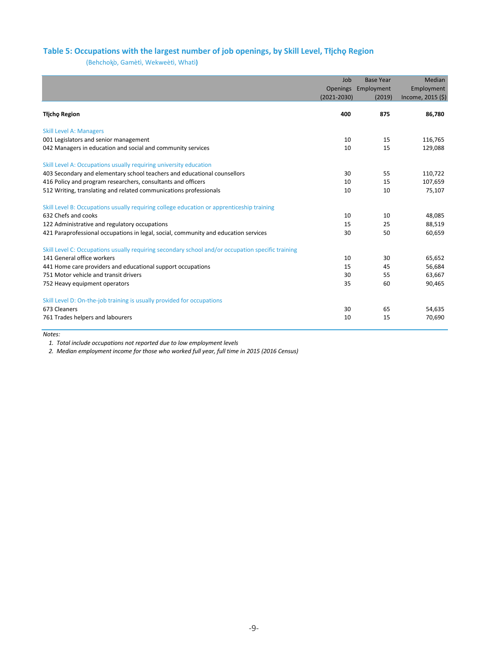#### **Table 5: Occupations with the largest number of job openings, by Skill Level, Tłįchǫ Region**

(Behchokǫ ̀, Gamètì, Wekweètì, Whatì**)**

|                                                                                                   | Job             | <b>Base Year</b> | Median            |
|---------------------------------------------------------------------------------------------------|-----------------|------------------|-------------------|
|                                                                                                   | <b>Openings</b> | Employment       | Employment        |
|                                                                                                   | $(2021 - 2030)$ | (2019)           | Income, 2015 (\$) |
| <b>Tłicho Region</b>                                                                              | 400             | 875              | 86,780            |
| <b>Skill Level A: Managers</b>                                                                    |                 |                  |                   |
| 001 Legislators and senior management                                                             | 10              | 15               | 116,765           |
| 042 Managers in education and social and community services                                       | 10              | 15               | 129,088           |
| Skill Level A: Occupations usually requiring university education                                 |                 |                  |                   |
| 403 Secondary and elementary school teachers and educational counsellors                          | 30              | 55               | 110,722           |
| 416 Policy and program researchers, consultants and officers                                      | 10              | 15               | 107,659           |
| 512 Writing, translating and related communications professionals                                 | 10              | 10               | 75,107            |
| Skill Level B: Occupations usually requiring college education or apprenticeship training         |                 |                  |                   |
| 632 Chefs and cooks                                                                               | 10              | 10               | 48,085            |
| 122 Administrative and regulatory occupations                                                     | 15              | 25               | 88,519            |
| 421 Paraprofessional occupations in legal, social, community and education services               | 30              | 50               | 60,659            |
| Skill Level C: Occupations usually requiring secondary school and/or occupation specific training |                 |                  |                   |
| 141 General office workers                                                                        | 10              | 30               | 65,652            |
| 441 Home care providers and educational support occupations                                       | 15              | 45               | 56,684            |
| 751 Motor vehicle and transit drivers                                                             | 30              | 55               | 63,667            |
| 752 Heavy equipment operators                                                                     | 35              | 60               | 90,465            |
| Skill Level D: On-the-job training is usually provided for occupations                            |                 |                  |                   |
| 673 Cleaners                                                                                      | 30              | 65               | 54,635            |
| 761 Trades helpers and labourers                                                                  | 10              | 15               | 70,690            |

*Notes:*

*1. Total include occupations not reported due to low employment levels*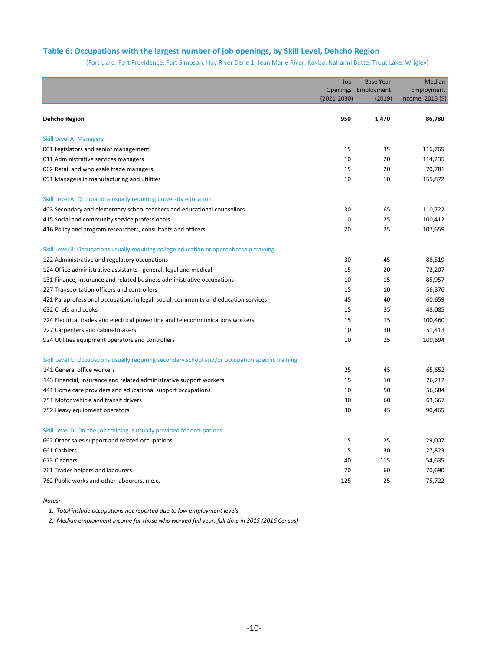#### **Table 6: Occupations with the largest number of job openings, by Skill Level, Dehcho Region**

(Fort Liard, Fort Providence, Fort Simpson, Hay River Dene 1, Jean Marie River, Kakisa, Nahanni Butte, Trout Lake, Wrigley)

|                                                                                                   | Job<br>$(2021 - 2030)$ | <b>Base Year</b><br>Openings Employment<br>(2019) | Median<br>Employment<br>Income, 2015 (\$) |
|---------------------------------------------------------------------------------------------------|------------------------|---------------------------------------------------|-------------------------------------------|
| <b>Dehcho Region</b>                                                                              | 950                    | 1,470                                             | 86,780                                    |
| <b>Skill Level A: Managers</b>                                                                    |                        |                                                   |                                           |
| 001 Legislators and senior management                                                             | 15                     | 35                                                | 116,765                                   |
| 011 Administrative services managers                                                              | 10                     | 20                                                | 114,235                                   |
| 062 Retail and wholesale trade managers                                                           | 15                     | 20                                                | 70,781                                    |
| 091 Managers in manufacturing and utilities                                                       | 10                     | 10                                                | 155,872                                   |
| Skill Level A: Occupations usually requiring university education                                 |                        |                                                   |                                           |
| 403 Secondary and elementary school teachers and educational counsellors                          | 30                     | 65                                                | 110,722                                   |
| 415 Social and community service professionals                                                    | 10                     | 25                                                | 100,412                                   |
| 416 Policy and program researchers, consultants and officers                                      | 20                     | 25                                                | 107,659                                   |
| Skill Level B: Occupations usually requiring college education or apprenticeship training         |                        |                                                   |                                           |
| 122 Administrative and regulatory occupations                                                     | 30                     | 45                                                | 88,519                                    |
| 124 Office administrative assistants - general, legal and medical                                 | 15                     | 20                                                | 72,207                                    |
| 131 Finance, insurance and related business administrative occupations                            | 10                     | 15                                                | 85,957                                    |
| 227 Transportation officers and controllers                                                       | 15                     | 10                                                | 56,376                                    |
| 421 Paraprofessional occupations in legal, social, community and education services               | 45                     | 40                                                | 60,659                                    |
| 632 Chefs and cooks                                                                               | 15                     | 35                                                | 48,085                                    |
| 724 Electrical trades and electrical power line and telecommunications workers                    | 15                     | 15                                                | 100,460                                   |
| 727 Carpenters and cabinetmakers                                                                  | 10                     | 30                                                | 51,413                                    |
| 924 Utilities equipment operators and controllers                                                 | 10                     | 25                                                | 109,694                                   |
| Skill Level C: Occupations usually requiring secondary school and/or occupation specific training |                        |                                                   |                                           |
| 141 General office workers                                                                        | 25                     | 45                                                | 65,652                                    |
| 143 Financial, insurance and related administrative support workers                               | 15                     | 10                                                | 76,212                                    |
| 441 Home care providers and educational support occupations                                       | 10                     | 50                                                | 56,684                                    |
| 751 Motor vehicle and transit drivers                                                             | 30                     | 60                                                | 63,667                                    |
| 752 Heavy equipment operators                                                                     | 30                     | 45                                                | 90,465                                    |
| Skill Level D: On-the-job training is usually provided for occupations                            |                        |                                                   |                                           |
| 662 Other sales support and related occupations                                                   | 15                     | 25                                                | 29,007                                    |
| 661 Cashiers                                                                                      | 15                     | 30                                                | 27,823                                    |
| 673 Cleaners                                                                                      | 40                     | 115                                               | 54,635                                    |
| 761 Trades helpers and labourers                                                                  | 70                     | 60                                                | 70,690                                    |
| 762 Public works and other labourers, n.e.c.                                                      | 125                    | 25                                                | 75,722                                    |

*Notes:*

*1. Total include occupations not reported due to low employment levels*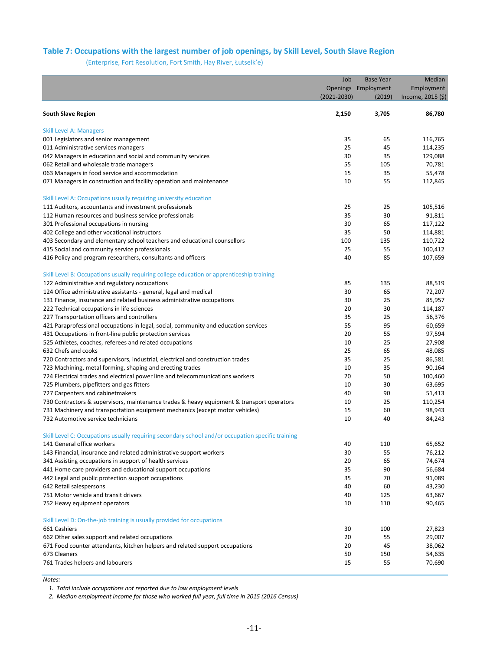#### **Table 7: Occupations with the largest number of job openings, by Skill Level, South Slave Region**

(Enterprise, Fort Resolution, Fort Smith, Hay River, Łutselk'e)

|                                                                                                   | Job             | <b>Base Year</b>    | Median            |
|---------------------------------------------------------------------------------------------------|-----------------|---------------------|-------------------|
|                                                                                                   |                 | Openings Employment | Employment        |
|                                                                                                   | $(2021 - 2030)$ | (2019)              | Income, 2015 (\$) |
|                                                                                                   |                 |                     |                   |
| <b>South Slave Region</b>                                                                         | 2,150           | 3,705               | 86,780            |
| <b>Skill Level A: Managers</b>                                                                    |                 |                     |                   |
| 001 Legislators and senior management                                                             | 35              | 65                  | 116,765           |
| 011 Administrative services managers                                                              | 25              | 45                  | 114,235           |
| 042 Managers in education and social and community services                                       | 30              | 35                  | 129,088           |
| 062 Retail and wholesale trade managers                                                           | 55              | 105                 | 70,781            |
| 063 Managers in food service and accommodation                                                    | 15              | 35                  | 55,478            |
| 071 Managers in construction and facility operation and maintenance                               | 10              | 55                  | 112,845           |
| Skill Level A: Occupations usually requiring university education                                 |                 |                     |                   |
| 111 Auditors, accountants and investment professionals                                            | 25              | 25                  | 105,516           |
| 112 Human resources and business service professionals                                            | 35              | 30                  | 91,811            |
| 301 Professional occupations in nursing                                                           | 30              | 65                  | 117,122           |
| 402 College and other vocational instructors                                                      | 35              | 50                  | 114,881           |
| 403 Secondary and elementary school teachers and educational counsellors                          | 100             | 135                 | 110,722           |
| 415 Social and community service professionals                                                    | 25              | 55                  | 100,412           |
| 416 Policy and program researchers, consultants and officers                                      | 40              | 85                  | 107,659           |
| Skill Level B: Occupations usually requiring college education or apprenticeship training         |                 |                     |                   |
| 122 Administrative and regulatory occupations                                                     | 85              | 135                 | 88,519            |
| 124 Office administrative assistants - general, legal and medical                                 | 30              | 65                  | 72,207            |
| 131 Finance, insurance and related business administrative occupations                            | 30              | 25                  | 85,957            |
| 222 Technical occupations in life sciences                                                        | 20              | 30                  | 114,187           |
| 227 Transportation officers and controllers                                                       | 35              | 25                  | 56,376            |
| 421 Paraprofessional occupations in legal, social, community and education services               | 55              | 95                  | 60,659            |
| 431 Occupations in front-line public protection services                                          | 20              | 55                  | 97,594            |
| 525 Athletes, coaches, referees and related occupations                                           | 10              | 25                  | 27,908            |
| 632 Chefs and cooks                                                                               | 25              | 65                  | 48,085            |
| 720 Contractors and supervisors, industrial, electrical and construction trades                   | 35              | 25                  | 86,581            |
| 723 Machining, metal forming, shaping and erecting trades                                         | 10              | 35                  | 90,164            |
| 724 Electrical trades and electrical power line and telecommunications workers                    | 20              | 50                  | 100,460           |
| 725 Plumbers, pipefitters and gas fitters                                                         | 10              | 30                  | 63,695            |
| 727 Carpenters and cabinetmakers                                                                  | 40              | 90                  | 51,413            |
| 730 Contractors & supervisors, maintenance trades & heavy equipment & transport operators         | 10              | 25                  | 110,254           |
| 731 Machinery and transportation equipment mechanics (except motor vehicles)                      | 15              | 60                  | 98,943            |
| 732 Automotive service technicians                                                                | 10              | 40                  | 84,243            |
| Skill Level C: Occupations usually requiring secondary school and/or occupation specific training |                 |                     |                   |
| 141 General office workers                                                                        | 40              | 110                 | 65,652            |
| 143 Financial, insurance and related administrative support workers                               | 30              | 55                  | 76,212            |
| 341 Assisting occupations in support of health services                                           | 20              | 65                  | 74,674            |
| 441 Home care providers and educational support occupations                                       | 35              | 90                  | 56,684            |
| 442 Legal and public protection support occupations                                               | 35              | 70                  | 91,089            |
| 642 Retail salespersons                                                                           | 40              | 60                  | 43,230            |
| 751 Motor vehicle and transit drivers                                                             | 40              | 125                 | 63,667            |
| 752 Heavy equipment operators                                                                     | 10              | 110                 | 90,465            |
| Skill Level D: On-the-job training is usually provided for occupations                            |                 |                     |                   |
| 661 Cashiers                                                                                      | 30              | 100                 | 27,823            |
| 662 Other sales support and related occupations                                                   | 20              | 55                  | 29,007            |
| 671 Food counter attendants, kitchen helpers and related support occupations                      | 20              | 45                  | 38,062            |
| 673 Cleaners                                                                                      | 50              | 150                 | 54,635            |
| 761 Trades helpers and labourers                                                                  | 15              | 55                  | 70,690            |
|                                                                                                   |                 |                     |                   |

*Notes:*

*1. Total include occupations not reported due to low employment levels*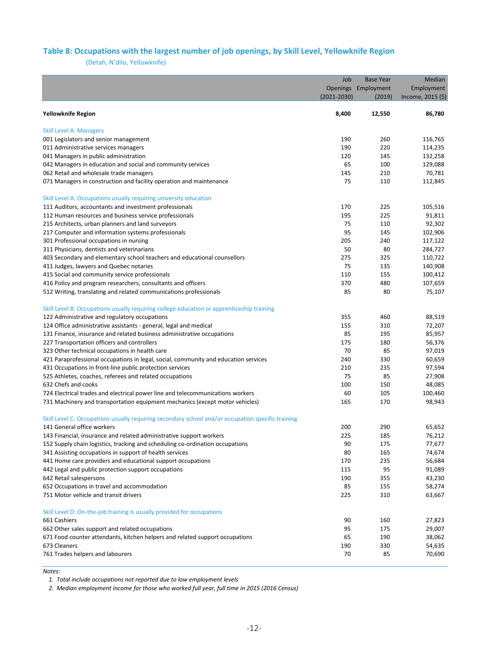#### **Table 8: Occupations with the largest number of job openings, by Skill Level, Yellowknife Region**

(Detah, N'dilo, Yellowknife)

|                                                                                                   | Job             | <b>Base Year</b> | Median            |
|---------------------------------------------------------------------------------------------------|-----------------|------------------|-------------------|
|                                                                                                   | <b>Openings</b> | Employment       | Employment        |
|                                                                                                   | $(2021 - 2030)$ | (2019)           | Income, 2015 (\$) |
|                                                                                                   |                 |                  |                   |
| <b>Yellowknife Region</b>                                                                         | 8,400           | 12,550           | 86,780            |
| <b>Skill Level A: Managers</b>                                                                    |                 |                  |                   |
| 001 Legislators and senior management                                                             | 190             | 260              | 116,765           |
| 011 Administrative services managers                                                              | 190             | 220              | 114,235           |
| 041 Managers in public administration                                                             | 120             | 145              | 132,258           |
| 042 Managers in education and social and community services                                       | 65              | 100              | 129,088           |
| 062 Retail and wholesale trade managers                                                           | 145             | 210              | 70,781            |
| 071 Managers in construction and facility operation and maintenance                               | 75              | 110              | 112,845           |
|                                                                                                   |                 |                  |                   |
| Skill Level A: Occupations usually requiring university education                                 |                 |                  |                   |
| 111 Auditors, accountants and investment professionals                                            | 170             | 225              | 105,516           |
| 112 Human resources and business service professionals                                            | 195             | 225              | 91,811            |
| 215 Architects, urban planners and land surveyors                                                 | 75              | 110              | 92,302            |
| 217 Computer and information systems professionals                                                | 95              | 145              | 102,906           |
| 301 Professional occupations in nursing                                                           | 205             | 240              | 117,122           |
| 311 Physicians, dentists and veterinarians                                                        | 50              | 80               | 284,727           |
| 403 Secondary and elementary school teachers and educational counsellors                          | 275             | 325              | 110,722           |
| 411 Judges, lawyers and Quebec notaries                                                           | 75              | 135              | 140,908           |
| 415 Social and community service professionals                                                    | 110             | 155              | 100,412           |
| 416 Policy and program researchers, consultants and officers                                      | 370             | 480              | 107,659           |
| 512 Writing, translating and related communications professionals                                 | 85              | 80               | 75,107            |
| Skill Level B: Occupations usually requiring college education or apprenticeship training         |                 |                  |                   |
| 122 Administrative and regulatory occupations                                                     | 355             | 460              | 88,519            |
| 124 Office administrative assistants - general, legal and medical                                 | 155             | 310              | 72,207            |
| 131 Finance, insurance and related business administrative occupations                            | 85              | 195              | 85,957            |
| 227 Transportation officers and controllers                                                       | 175             | 180              | 56,376            |
| 323 Other technical occupations in health care                                                    | 70              | 85               | 97,019            |
| 421 Paraprofessional occupations in legal, social, community and education services               | 240             | 330              | 60,659            |
| 431 Occupations in front-line public protection services                                          | 210             | 235              | 97,594            |
| 525 Athletes, coaches, referees and related occupations                                           | 75              | 85               | 27,908            |
| 632 Chefs and cooks                                                                               | 100             | 150              | 48,085            |
| 724 Electrical trades and electrical power line and telecommunications workers                    | 60              | 105              | 100,460           |
| 731 Machinery and transportation equipment mechanics (except motor vehicles)                      | 165             | 170              | 98,943            |
|                                                                                                   |                 |                  |                   |
| Skill Level C: Occupations usually requiring secondary school and/or occupation specific training |                 |                  |                   |
| 141 General office workers                                                                        | 200             | 290              | 65,652            |
| 143 Financial, insurance and related administrative support workers                               | 225             | 185              | 76,212            |
| 152 Supply chain logistics, tracking and scheduling co-ordination occupations                     | 90              | 175              | 77,677            |
| 341 Assisting occupations in support of health services                                           | 80              | 165              | 74,674            |
| 441 Home care providers and educational support occupations                                       | 170             | 235              | 56,684            |
| 442 Legal and public protection support occupations                                               | 115             | 95               | 91,089            |
| 642 Retail salespersons                                                                           | 190             | 355              | 43,230            |
| 652 Occupations in travel and accommodation                                                       | 85              | 155              | 58,274            |
| 751 Motor vehicle and transit drivers                                                             | 225             | 310              | 63,667            |
| Skill Level D: On-the-job training is usually provided for occupations                            |                 |                  |                   |
| 661 Cashiers                                                                                      | 90              | 160              | 27,823            |
| 662 Other sales support and related occupations                                                   | 95              | 175              | 29,007            |
| 671 Food counter attendants, kitchen helpers and related support occupations                      | 65              | 190              | 38,062            |
| 673 Cleaners                                                                                      | 190             | 330              | 54,635            |
| 761 Trades helpers and labourers                                                                  | 70              | 85               | 70,690            |
|                                                                                                   |                 |                  |                   |

*Notes:*

*1. Total include occupations not reported due to low employment levels*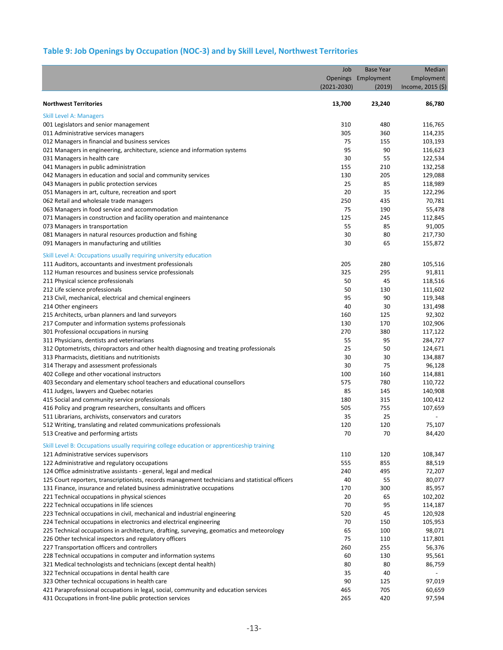# **Table 9: Job Openings by Occupation (NOC-3) and by Skill Level, Northwest Territories**

|                                                                                                 | Job             | <b>Base Year</b>    | Median            |
|-------------------------------------------------------------------------------------------------|-----------------|---------------------|-------------------|
|                                                                                                 |                 | Openings Employment | Employment        |
|                                                                                                 | $(2021 - 2030)$ | (2019)              | Income, 2015 (\$) |
|                                                                                                 |                 |                     |                   |
| <b>Northwest Territories</b>                                                                    | 13,700          | 23,240              | 86,780            |
| <b>Skill Level A: Managers</b>                                                                  |                 |                     |                   |
| 001 Legislators and senior management                                                           | 310             | 480                 | 116,765           |
| 011 Administrative services managers                                                            | 305             | 360                 | 114,235           |
| 012 Managers in financial and business services                                                 | 75              | 155                 | 103,193           |
| 021 Managers in engineering, architecture, science and information systems                      | 95              | 90                  | 116,623           |
| 031 Managers in health care                                                                     | 30              | 55                  | 122,534           |
| 041 Managers in public administration                                                           | 155             | 210                 | 132,258           |
| 042 Managers in education and social and community services                                     | 130             | 205                 | 129,088           |
| 043 Managers in public protection services                                                      | 25              | 85                  | 118,989           |
| 051 Managers in art, culture, recreation and sport                                              | 20              | 35                  | 122,296           |
| 062 Retail and wholesale trade managers                                                         | 250             | 435                 | 70,781            |
| 063 Managers in food service and accommodation                                                  | 75              | 190                 | 55,478            |
| 071 Managers in construction and facility operation and maintenance                             | 125             | 245                 | 112,845           |
| 073 Managers in transportation                                                                  | 55              | 85                  | 91,005            |
| 081 Managers in natural resources production and fishing                                        | 30              | 80                  | 217,730           |
|                                                                                                 |                 | 65                  |                   |
| 091 Managers in manufacturing and utilities                                                     | 30              |                     | 155,872           |
| Skill Level A: Occupations usually requiring university education                               |                 |                     |                   |
| 111 Auditors, accountants and investment professionals                                          | 205             | 280                 | 105,516           |
| 112 Human resources and business service professionals                                          | 325             | 295                 | 91,811            |
| 211 Physical science professionals                                                              | 50              | 45                  | 118,516           |
| 212 Life science professionals                                                                  | 50              | 130                 | 111,602           |
| 213 Civil, mechanical, electrical and chemical engineers                                        | 95              | 90                  | 119,348           |
| 214 Other engineers                                                                             | 40              | 30                  | 131,498           |
| 215 Architects, urban planners and land surveyors                                               | 160             | 125                 | 92,302            |
| 217 Computer and information systems professionals                                              | 130             | 170                 | 102,906           |
| 301 Professional occupations in nursing                                                         | 270             | 380                 | 117,122           |
| 311 Physicians, dentists and veterinarians                                                      | 55              | 95                  | 284,727           |
| 312 Optometrists, chiropractors and other health diagnosing and treating professionals          | 25              | 50                  | 124,671           |
| 313 Pharmacists, dietitians and nutritionists                                                   | 30              | 30                  | 134,887           |
| 314 Therapy and assessment professionals                                                        | 30              | 75                  | 96,128            |
| 402 College and other vocational instructors                                                    | 100             | 160                 | 114,881           |
|                                                                                                 | 575             | 780                 | 110,722           |
| 403 Secondary and elementary school teachers and educational counsellors                        |                 | 145                 |                   |
| 411 Judges, lawyers and Quebec notaries                                                         | 85              |                     | 140,908           |
| 415 Social and community service professionals                                                  | 180             | 315                 | 100,412           |
| 416 Policy and program researchers, consultants and officers                                    | 505             | 755                 | 107,659           |
| 511 Librarians, archivists, conservators and curators                                           | 35              | 25                  |                   |
| 512 Writing, translating and related communications professionals                               | 120             | 120                 | 75,107            |
| 513 Creative and performing artists                                                             | 70              | 70                  | 84,420            |
| Skill Level B: Occupations usually requiring college education or apprenticeship training       |                 |                     |                   |
| 121 Administrative services supervisors                                                         | 110             | 120                 | 108,347           |
| 122 Administrative and regulatory occupations                                                   | 555             | 855                 | 88,519            |
| 124 Office administrative assistants - general, legal and medical                               | 240             | 495                 | 72,207            |
| 125 Court reporters, transcriptionists, records management technicians and statistical officers | 40              | 55                  | 80,077            |
| 131 Finance, insurance and related business administrative occupations                          | 170             | 300                 | 85,957            |
| 221 Technical occupations in physical sciences                                                  | 20              | 65                  | 102,202           |
| 222 Technical occupations in life sciences                                                      | 70              | 95                  | 114,187           |
| 223 Technical occupations in civil, mechanical and industrial engineering                       | 520             | 45                  | 120,928           |
| 224 Technical occupations in electronics and electrical engineering                             | 70              | 150                 | 105,953           |
| 225 Technical occupations in architecture, drafting, surveying, geomatics and meteorology       | 65              | 100                 | 98,071            |
| 226 Other technical inspectors and regulatory officers                                          | 75              | 110                 | 117,801           |
| 227 Transportation officers and controllers                                                     | 260             | 255                 | 56,376            |
|                                                                                                 | 60              | 130                 |                   |
| 228 Technical occupations in computer and information systems                                   |                 |                     | 95,561            |
| 321 Medical technologists and technicians (except dental health)                                | 80              | 80                  | 86,759            |
| 322 Technical occupations in dental health care                                                 | 35              | 40                  |                   |
| 323 Other technical occupations in health care                                                  | 90              | 125                 | 97,019            |
| 421 Paraprofessional occupations in legal, social, community and education services             | 465             | 705                 | 60,659            |
| 431 Occupations in front-line public protection services                                        | 265             | 420                 | 97,594            |